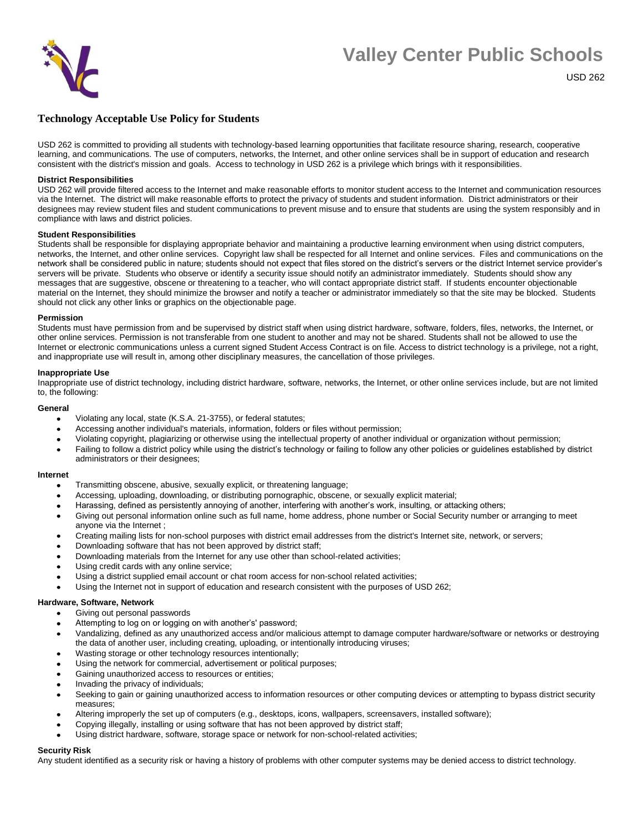

# **Valley Center Public Schools**

USD 262

# **Technology Acceptable Use Policy for Students**

USD 262 is committed to providing all students with technology-based learning opportunities that facilitate resource sharing, research, cooperative learning, and communications. The use of computers, networks, the Internet, and other online services shall be in support of education and research consistent with the district's mission and goals. Access to technology in USD 262 is a privilege which brings with it responsibilities.

# **District Responsibilities**

USD 262 will provide filtered access to the Internet and make reasonable efforts to monitor student access to the Internet and communication resources via the Internet. The district will make reasonable efforts to protect the privacy of students and student information. District administrators or their designees may review student files and student communications to prevent misuse and to ensure that students are using the system responsibly and in compliance with laws and district policies.

#### **Student Responsibilities**

Students shall be responsible for displaying appropriate behavior and maintaining a productive learning environment when using district computers, networks, the Internet, and other online services. Copyright law shall be respected for all Internet and online services. Files and communications on the network shall be considered public in nature; students should not expect that files stored on the district's servers or the district Internet service provider's servers will be private. Students who observe or identify a security issue should notify an administrator immediately. Students should show any messages that are suggestive, obscene or threatening to a teacher, who will contact appropriate district staff. If students encounter objectionable material on the Internet, they should minimize the browser and notify a teacher or administrator immediately so that the site may be blocked. Students should not click any other links or graphics on the objectionable page.

#### **Permission**

Students must have permission from and be supervised by district staff when using district hardware, software, folders, files, networks, the Internet, or other online services. Permission is not transferable from one student to another and may not be shared. Students shall not be allowed to use the Internet or electronic communications unless a current signed Student Access Contract is on file. Access to district technology is a privilege, not a right, and inappropriate use will result in, among other disciplinary measures, the cancellation of those privileges.

# **Inappropriate Use**

Inappropriate use of district technology, including district hardware, software, networks, the Internet, or other online services include, but are not limited to, the following:

# **General**

- Violating any local, state (K.S.A. 21-3755), or federal statutes;
- Accessing another individual's materials, information, folders or files without permission;
- Violating copyright, plagiarizing or otherwise using the intellectual property of another individual or organization without permission;
- Failing to follow a district policy while using the district's technology or failing to follow any other policies or guidelines established by district administrators or their designees;

#### **Internet**

- Transmitting obscene, abusive, sexually explicit, or threatening language;
- Accessing, uploading, downloading, or distributing pornographic, obscene, or sexually explicit material;
- Harassing, defined as persistently annoying of another, interfering with another's work, insulting, or attacking others;
- Giving out personal information online such as full name, home address, phone number or Social Security number or arranging to meet anyone via the Internet ;
- Creating mailing lists for non-school purposes with district email addresses from the district's Internet site, network, or servers;
- Downloading software that has not been approved by district staff;
- Downloading materials from the Internet for any use other than school-related activities;
- Using credit cards with any online service;
- Using a district supplied email account or chat room access for non-school related activities;
- Using the Internet not in support of education and research consistent with the purposes of USD 262;

#### **Hardware, Software, Network**

- Giving out personal passwords
- Attempting to log on or logging on with another's' password;
- Vandalizing, defined as any unauthorized access and/or malicious attempt to damage computer hardware/software or networks or destroying the data of another user, including creating, uploading, or intentionally introducing viruses;
- Wasting storage or other technology resources intentionally;
- Using the network for commercial, advertisement or political purposes;
- Gaining unauthorized access to resources or entities;
- Invading the privacy of individuals;
- Seeking to gain or gaining unauthorized access to information resources or other computing devices or attempting to bypass district security measures;
- Altering improperly the set up of computers (e.g., desktops, icons, wallpapers, screensavers, installed software);
- Copying illegally, installing or using software that has not been approved by district staff;
- Using district hardware, software, storage space or network for non-school-related activities;

#### **Security Risk**

Any student identified as a security risk or having a history of problems with other computer systems may be denied access to district technology.